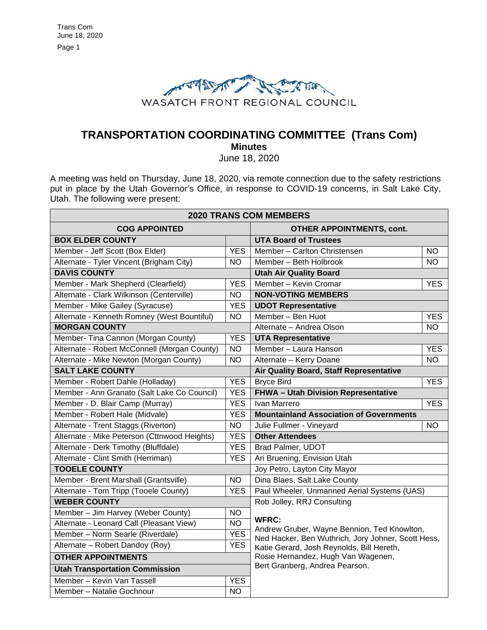

# **TRANSPORTATION COORDINATING COMMITTEE (Trans Com) Minutes**

June 18, 2020

A meeting was held on Thursday, June 18, 2020, via remote connection due to the safety restrictions put in place by the Utah Governor's Office, in response to COVID-19 concerns, in Salt Lake City, Utah. The following were present:

| <b>2020 TRANS COM MEMBERS</b>                |                                |                                                                                                                                                                |            |  |  |
|----------------------------------------------|--------------------------------|----------------------------------------------------------------------------------------------------------------------------------------------------------------|------------|--|--|
| <b>COG APPOINTED</b>                         |                                | <b>OTHER APPOINTMENTS, cont.</b>                                                                                                                               |            |  |  |
| <b>BOX ELDER COUNTY</b>                      |                                | <b>UTA Board of Trustees</b>                                                                                                                                   |            |  |  |
| Member - Jeff Scott (Box Elder)              | <b>YES</b>                     | Member - Carlton Christensen                                                                                                                                   | NΟ         |  |  |
| Alternate - Tyler Vincent (Brigham City)     | <b>NO</b>                      | Member - Beth Holbrook                                                                                                                                         | <b>NO</b>  |  |  |
| <b>DAVIS COUNTY</b>                          |                                | <b>Utah Air Quality Board</b>                                                                                                                                  |            |  |  |
| Member - Mark Shepherd (Clearfield)          | <b>YES</b>                     | Member - Kevin Cromar                                                                                                                                          | <b>YES</b> |  |  |
| Alternate - Clark Wilkinson (Centerville)    | <b>NO</b>                      | <b>NON-VOTING MEMBERS</b>                                                                                                                                      |            |  |  |
| Member - Mike Gailey (Syracuse)              | <b>YES</b>                     | <b>UDOT Representative</b>                                                                                                                                     |            |  |  |
| Alternate - Kenneth Romney (West Bountiful)  | <b>NO</b>                      | Member - Ben Huot                                                                                                                                              | <b>YES</b> |  |  |
| <b>MORGAN COUNTY</b>                         |                                | Alternate - Andrea Olson                                                                                                                                       | <b>NO</b>  |  |  |
| Member- Tina Cannon (Morgan County)          | <b>YES</b>                     | <b>UTA Representative</b>                                                                                                                                      |            |  |  |
| Alternate - Robert McConnell (Morgan County) | <b>NO</b>                      | Member - Laura Hanson                                                                                                                                          | <b>YES</b> |  |  |
| Alternate - Mike Newton (Morgan County)      | <b>NO</b>                      | Alternate - Kerry Doane                                                                                                                                        | <b>NO</b>  |  |  |
| <b>SALT LAKE COUNTY</b>                      |                                | Air Quality Board, Staff Representative                                                                                                                        |            |  |  |
| Member - Robert Dahle (Holladay)             | <b>YES</b>                     | <b>Bryce Bird</b>                                                                                                                                              | <b>YES</b> |  |  |
| Member - Ann Granato (Salt Lake Co Council)  | <b>YES</b>                     | FHWA - Utah Division Representative                                                                                                                            |            |  |  |
| Member - D. Blair Camp (Murray)              | <b>YES</b>                     | Ivan Marrero                                                                                                                                                   | <b>YES</b> |  |  |
| Member - Robert Hale (Midvale)               | <b>YES</b>                     | <b>Mountainland Association of Governments</b>                                                                                                                 |            |  |  |
| Alternate - Trent Staggs (Riverton)          | <b>NO</b>                      | Julie Fullmer - Vineyard                                                                                                                                       | <b>NO</b>  |  |  |
| Alternate - Mike Peterson (Cttnwood Heights) | <b>YES</b>                     | <b>Other Attendees</b>                                                                                                                                         |            |  |  |
| Alternate - Derk Timothy (Bluffdale)         | <b>YES</b>                     | Brad Palmer, UDOT                                                                                                                                              |            |  |  |
| Alternate - Clint Smith (Herriman)           | <b>YES</b>                     | Ari Bruening, Envision Utah                                                                                                                                    |            |  |  |
| <b>TOOELE COUNTY</b>                         |                                | Joy Petro, Layton City Mayor                                                                                                                                   |            |  |  |
| Member - Brent Marshall (Grantsville)        | <b>NO</b>                      | Dina Blaes, Salt Lake County                                                                                                                                   |            |  |  |
| Alternate - Tom Tripp (Tooele County)        | <b>YES</b>                     | Paul Wheeler, Unmanned Aerial Systems (UAS)                                                                                                                    |            |  |  |
| <b>WEBER COUNTY</b>                          |                                | Rob Jolley, RRJ Consulting                                                                                                                                     |            |  |  |
| Member - Jim Harvey (Weber County)           | <b>NO</b>                      | <b>WFRC:</b><br>Andrew Gruber, Wayne Bennion, Ted Knowlton,<br>Ned Hacker, Ben Wuthrich, Jory Johner, Scott Hess,<br>Katie Gerard, Josh Reynolds, Bill Hereth, |            |  |  |
| Alternate - Leonard Call (Pleasant View)     | <b>NO</b>                      |                                                                                                                                                                |            |  |  |
| Member - Norm Searle (Riverdale)             | <b>YES</b>                     |                                                                                                                                                                |            |  |  |
| Alternate - Robert Dandoy (Roy)              | <b>YES</b>                     |                                                                                                                                                                |            |  |  |
| <b>OTHER APPOINTMENTS</b>                    |                                | Rosie Hernandez, Hugh Van Wagenen,                                                                                                                             |            |  |  |
| <b>Utah Transportation Commission</b>        | Bert Granberg, Andrea Pearson. |                                                                                                                                                                |            |  |  |
| Member - Kevin Van Tassell                   | <b>YES</b>                     |                                                                                                                                                                |            |  |  |
| Member - Natalie Gochnour                    | <b>NO</b>                      |                                                                                                                                                                |            |  |  |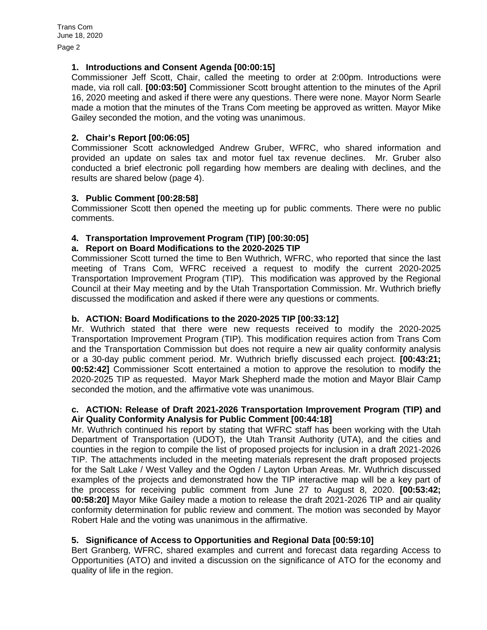Page 2

# **1. Introductions and Consent Agenda [00:00:15]**

Commissioner Jeff Scott, Chair, called the meeting to order at 2:00pm. Introductions were made, via roll call. **[00:03:50]** Commissioner Scott brought attention to the minutes of the April 16, 2020 meeting and asked if there were any questions. There were none. Mayor Norm Searle made a motion that the minutes of the Trans Com meeting be approved as written. Mayor Mike Gailey seconded the motion, and the voting was unanimous.

# **2. Chair's Report [00:06:05]**

Commissioner Scott acknowledged Andrew Gruber, WFRC, who shared information and provided an update on sales tax and motor fuel tax revenue declines. Mr. Gruber also conducted a brief electronic poll regarding how members are dealing with declines, and the results are shared below (page 4).

# **3. Public Comment [00:28:58]**

Commissioner Scott then opened the meeting up for public comments. There were no public comments.

# **4. Transportation Improvement Program (TIP) [00:30:05]**

# **a. Report on Board Modifications to the 2020-2025 TIP**

Commissioner Scott turned the time to Ben Wuthrich, WFRC, who reported that since the last meeting of Trans Com, WFRC received a request to modify the current 2020-2025 Transportation Improvement Program (TIP). This modification was approved by the Regional Council at their May meeting and by the Utah Transportation Commission. Mr. Wuthrich briefly discussed the modification and asked if there were any questions or comments.

# **b. ACTION: Board Modifications to the 2020-2025 TIP [00:33:12]**

Mr. Wuthrich stated that there were new requests received to modify the 2020-2025 Transportation Improvement Program (TIP). This modification requires action from Trans Com and the Transportation Commission but does not require a new air quality conformity analysis or a 30-day public comment period. Mr. Wuthrich briefly discussed each project. **[00:43:21; 00:52:42]** Commissioner Scott entertained a motion to approve the resolution to modify the 2020-2025 TIP as requested. Mayor Mark Shepherd made the motion and Mayor Blair Camp seconded the motion, and the affirmative vote was unanimous.

# **c. ACTION: Release of Draft 2021-2026 Transportation Improvement Program (TIP) and Air Quality Conformity Analysis for Public Comment [00:44:18]**

Mr. Wuthrich continued his report by stating that WFRC staff has been working with the Utah Department of Transportation (UDOT), the Utah Transit Authority (UTA), and the cities and counties in the region to compile the list of proposed projects for inclusion in a draft 2021-2026 TIP. The attachments included in the meeting materials represent the draft proposed projects for the Salt Lake / West Valley and the Ogden / Layton Urban Areas. Mr. Wuthrich discussed examples of the projects and demonstrated how the TIP interactive map will be a key part of the process for receiving public comment from June 27 to August 8, 2020. **[00:53:42; 00:58:20]** Mayor Mike Gailey made a motion to release the draft 2021-2026 TIP and air quality conformity determination for public review and comment. The motion was seconded by Mayor Robert Hale and the voting was unanimous in the affirmative.

# **5. Significance of Access to Opportunities and Regional Data [00:59:10]**

Bert Granberg, WFRC, shared examples and current and forecast data regarding Access to Opportunities (ATO) and invited a discussion on the significance of ATO for the economy and quality of life in the region.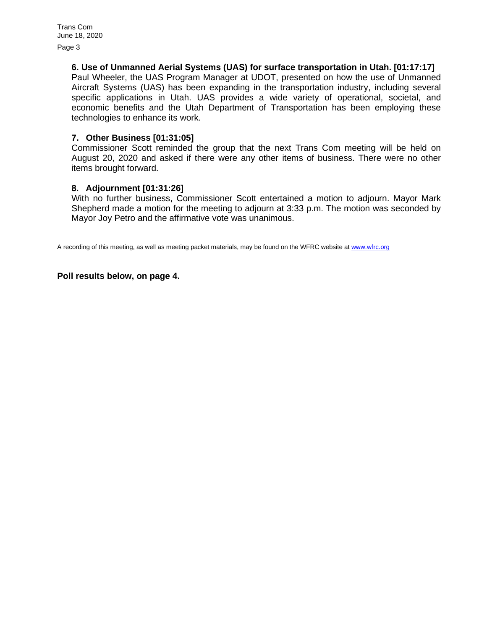Page 3

#### **6. Use of Unmanned Aerial Systems (UAS) for surface transportation in Utah. [01:17:17]**

Paul Wheeler, the UAS Program Manager at UDOT, presented on how the use of Unmanned Aircraft Systems (UAS) has been expanding in the transportation industry, including several specific applications in Utah. UAS provides a wide variety of operational, societal, and economic benefits and the Utah Department of Transportation has been employing these technologies to enhance its work.

#### **7. Other Business [01:31:05]**

Commissioner Scott reminded the group that the next Trans Com meeting will be held on August 20, 2020 and asked if there were any other items of business. There were no other items brought forward.

#### **8. Adjournment [01:31:26]**

With no further business, Commissioner Scott entertained a motion to adjourn. Mayor Mark Shepherd made a motion for the meeting to adjourn at 3:33 p.m. The motion was seconded by Mayor Joy Petro and the affirmative vote was unanimous.

A recording of this meeting, as well as meeting packet materials, may be found on the WFRC website at [www.wfrc.org](http://www.wfrc.org/)

#### **Poll results below, on page 4.**